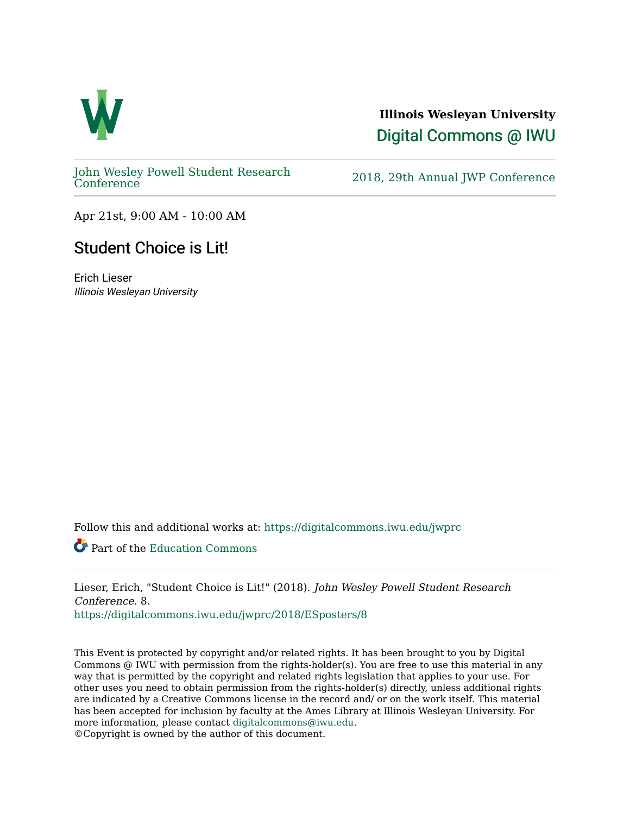

#### **Illinois Wesleyan University**  [Digital Commons @ IWU](https://digitalcommons.iwu.edu/)

[John Wesley Powell Student Research](https://digitalcommons.iwu.edu/jwprc) 

2018, 29th Annual JWP [Conference](https://digitalcommons.iwu.edu/jwprc)

Apr 21st, 9:00 AM - 10:00 AM

#### Student Choice is Lit!

Erich Lieser Illinois Wesleyan University

Follow this and additional works at: [https://digitalcommons.iwu.edu/jwprc](https://digitalcommons.iwu.edu/jwprc?utm_source=digitalcommons.iwu.edu%2Fjwprc%2F2018%2FESposters%2F8&utm_medium=PDF&utm_campaign=PDFCoverPages) 

Part of the [Education Commons](http://network.bepress.com/hgg/discipline/784?utm_source=digitalcommons.iwu.edu%2Fjwprc%2F2018%2FESposters%2F8&utm_medium=PDF&utm_campaign=PDFCoverPages)

Lieser, Erich, "Student Choice is Lit!" (2018). John Wesley Powell Student Research Conference. 8.

[https://digitalcommons.iwu.edu/jwprc/2018/ESposters/8](https://digitalcommons.iwu.edu/jwprc/2018/ESposters/8?utm_source=digitalcommons.iwu.edu%2Fjwprc%2F2018%2FESposters%2F8&utm_medium=PDF&utm_campaign=PDFCoverPages)

This Event is protected by copyright and/or related rights. It has been brought to you by Digital Commons @ IWU with permission from the rights-holder(s). You are free to use this material in any way that is permitted by the copyright and related rights legislation that applies to your use. For other uses you need to obtain permission from the rights-holder(s) directly, unless additional rights are indicated by a Creative Commons license in the record and/ or on the work itself. This material has been accepted for inclusion by faculty at the Ames Library at Illinois Wesleyan University. For more information, please contact [digitalcommons@iwu.edu](mailto:digitalcommons@iwu.edu). ©Copyright is owned by the author of this document.